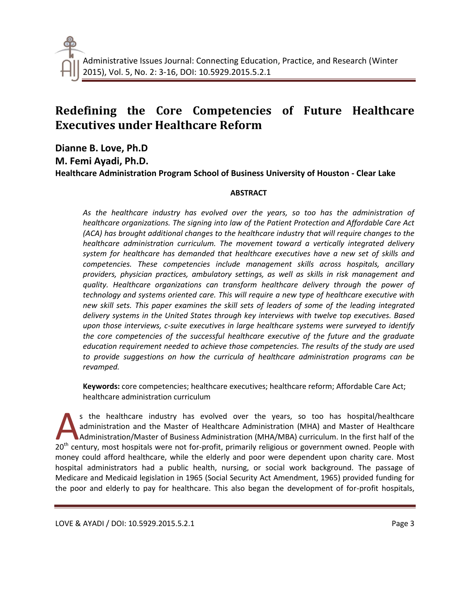# **Redefining the Core Competencies of Future Healthcare Executives under Healthcare Reform**

**Dianne B. Love, Ph.D M. Femi Ayadi, Ph.D. Healthcare Administration Program School of Business University of Houston - Clear Lake**

## **ABSTRACT**

*As the healthcare industry has evolved over the years, so too has the administration of healthcare organizations. The signing into law of the Patient Protection and Affordable Care Act (ACA) has brought additional changes to the healthcare industry that will require changes to the healthcare administration curriculum. The movement toward a vertically integrated delivery system for healthcare has demanded that healthcare executives have a new set of skills and competencies. These competencies include management skills across hospitals, ancillary providers, physician practices, ambulatory settings, as well as skills in risk management and quality. Healthcare organizations can transform healthcare delivery through the power of technology and systems oriented care. This will require a new type of healthcare executive with new skill sets. This paper examines the skill sets of leaders of some of the leading integrated delivery systems in the United States through key interviews with twelve top executives. Based upon those interviews, c-suite executives in large healthcare systems were surveyed to identify the core competencies of the successful healthcare executive of the future and the graduate education requirement needed to achieve those competencies. The results of the study are used to provide suggestions on how the curricula of healthcare administration programs can be revamped.*

**Keywords:** core competencies; healthcare executives; healthcare reform; Affordable Care Act; healthcare administration curriculum

s the healthcare industry has evolved over the years, so too has hospital/healthcare administration and the Master of Healthcare Administration (MHA) and Master of Healthcare Administration/Master of Business Administration (MHA/MBA) curriculum. In the first half of the <sup>20th</sup> century, most hospitals were not for-profit, primarily religious or government owned. People with 20<sup>th</sup> century, most hospitals were not for-profit, primarily religious or government owned. People with 20<sup>th</sup> centu money could afford healthcare, while the elderly and poor were dependent upon charity care. Most hospital administrators had a public health, nursing, or social work background. The passage of Medicare and Medicaid legislation in 1965 (Social Security Act Amendment, 1965) provided funding for the poor and elderly to pay for healthcare. This also began the development of for-profit hospitals,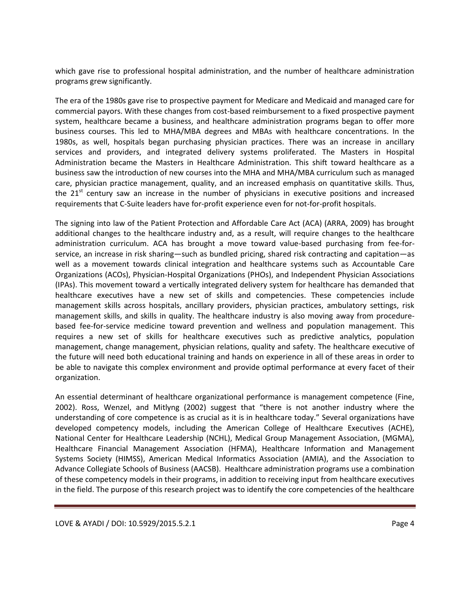which gave rise to professional hospital administration, and the number of healthcare administration programs grew significantly.

The era of the 1980s gave rise to prospective payment for Medicare and Medicaid and managed care for commercial payors. With these changes from cost-based reimbursement to a fixed prospective payment system, healthcare became a business, and healthcare administration programs began to offer more business courses. This led to MHA/MBA degrees and MBAs with healthcare concentrations. In the 1980s, as well, hospitals began purchasing physician practices. There was an increase in ancillary services and providers, and integrated delivery systems proliferated. The Masters in Hospital Administration became the Masters in Healthcare Administration. This shift toward healthcare as a business saw the introduction of new courses into the MHA and MHA/MBA curriculum such as managed care, physician practice management, quality, and an increased emphasis on quantitative skills. Thus, the  $21<sup>st</sup>$  century saw an increase in the number of physicians in executive positions and increased requirements that C-Suite leaders have for-profit experience even for not-for-profit hospitals.

The signing into law of the Patient Protection and Affordable Care Act (ACA) (ARRA, 2009) has brought additional changes to the healthcare industry and, as a result, will require changes to the healthcare administration curriculum. ACA has brought a move toward value-based purchasing from fee-forservice, an increase in risk sharing—such as bundled pricing, shared risk contracting and capitation—as well as a movement towards clinical integration and healthcare systems such as Accountable Care Organizations (ACOs), Physician-Hospital Organizations (PHOs), and Independent Physician Associations (IPAs). This movement toward a vertically integrated delivery system for healthcare has demanded that healthcare executives have a new set of skills and competencies. These competencies include management skills across hospitals, ancillary providers, physician practices, ambulatory settings, risk management skills, and skills in quality. The healthcare industry is also moving away from procedurebased fee-for-service medicine toward prevention and wellness and population management. This requires a new set of skills for healthcare executives such as predictive analytics, population management, change management, physician relations, quality and safety. The healthcare executive of the future will need both educational training and hands on experience in all of these areas in order to be able to navigate this complex environment and provide optimal performance at every facet of their organization.

An essential determinant of healthcare organizational performance is management competence (Fine, 2002). Ross, Wenzel, and Mitlyng (2002) suggest that "there is not another industry where the understanding of core competence is as crucial as it is in healthcare today." Several organizations have developed competency models, including the American College of Healthcare Executives (ACHE), National Center for Healthcare Leadership (NCHL), Medical Group Management Association, (MGMA), Healthcare Financial Management Association (HFMA), Healthcare Information and Management Systems Society (HIMSS), American Medical Informatics Association (AMIA), and the Association to Advance Collegiate Schools of Business (AACSB). Healthcare administration programs use a combination of these competency models in their programs, in addition to receiving input from healthcare executives in the field. The purpose of this research project was to identify the core competencies of the healthcare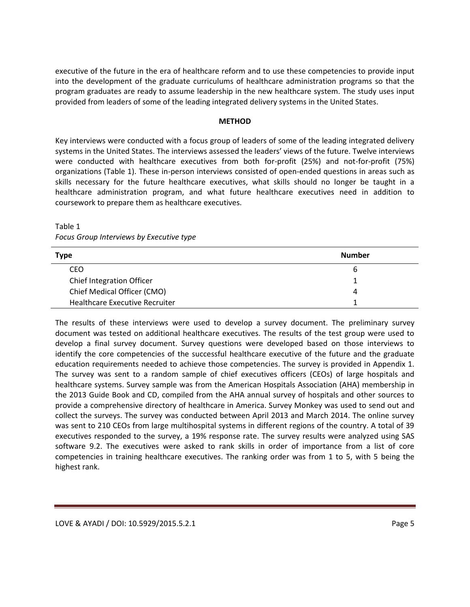executive of the future in the era of healthcare reform and to use these competencies to provide input into the development of the graduate curriculums of healthcare administration programs so that the program graduates are ready to assume leadership in the new healthcare system. The study uses input provided from leaders of some of the leading integrated delivery systems in the United States.

#### **METHOD**

Key interviews were conducted with a focus group of leaders of some of the leading integrated delivery systems in the United States. The interviews assessed the leaders' views of the future. Twelve interviews were conducted with healthcare executives from both for-profit (25%) and not-for-profit (75%) organizations (Table 1). These in-person interviews consisted of open-ended questions in areas such as skills necessary for the future healthcare executives, what skills should no longer be taught in a healthcare administration program, and what future healthcare executives need in addition to coursework to prepare them as healthcare executives.

## Table 1 *Focus Group Interviews by Executive type*

| Type                             | <b>Number</b> |
|----------------------------------|---------------|
| CEO                              | b             |
| <b>Chief Integration Officer</b> |               |
| Chief Medical Officer (CMO)      | 4             |
| Healthcare Executive Recruiter   |               |

The results of these interviews were used to develop a survey document. The preliminary survey document was tested on additional healthcare executives. The results of the test group were used to develop a final survey document. Survey questions were developed based on those interviews to identify the core competencies of the successful healthcare executive of the future and the graduate education requirements needed to achieve those competencies. The survey is provided in Appendix 1. The survey was sent to a random sample of chief executives officers (CEOs) of large hospitals and healthcare systems. Survey sample was from the American Hospitals Association (AHA) membership in the 2013 Guide Book and CD, compiled from the AHA annual survey of hospitals and other sources to provide a comprehensive directory of healthcare in America. Survey Monkey was used to send out and collect the surveys. The survey was conducted between April 2013 and March 2014. The online survey was sent to 210 CEOs from large multihospital systems in different regions of the country. A total of 39 executives responded to the survey, a 19% response rate. The survey results were analyzed using SAS software 9.2. The executives were asked to rank skills in order of importance from a list of core competencies in training healthcare executives. The ranking order was from 1 to 5, with 5 being the highest rank.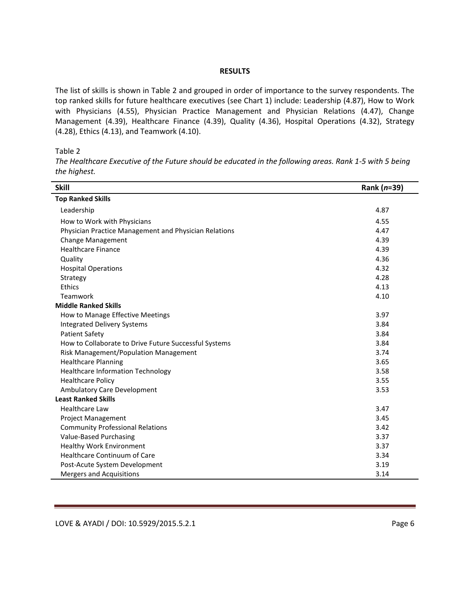#### **RESULTS**

The list of skills is shown in Table 2 and grouped in order of importance to the survey respondents. The top ranked skills for future healthcare executives (see Chart 1) include: Leadership (4.87), How to Work with Physicians (4.55), Physician Practice Management and Physician Relations (4.47), Change Management (4.39), Healthcare Finance (4.39), Quality (4.36), Hospital Operations (4.32), Strategy (4.28), Ethics (4.13), and Teamwork (4.10).

Table 2

*The Healthcare Executive of the Future should be educated in the following areas. Rank 1-5 with 5 being the highest.*

| <b>Skill</b>                                          | Rank (n=39) |
|-------------------------------------------------------|-------------|
| <b>Top Ranked Skills</b>                              |             |
| Leadership                                            | 4.87        |
| How to Work with Physicians                           | 4.55        |
| Physician Practice Management and Physician Relations | 4.47        |
| <b>Change Management</b>                              | 4.39        |
| <b>Healthcare Finance</b>                             | 4.39        |
| Quality                                               | 4.36        |
| <b>Hospital Operations</b>                            | 4.32        |
| Strategy                                              | 4.28        |
| Ethics                                                | 4.13        |
| Teamwork                                              | 4.10        |
| <b>Middle Ranked Skills</b>                           |             |
| How to Manage Effective Meetings                      | 3.97        |
| <b>Integrated Delivery Systems</b>                    | 3.84        |
| <b>Patient Safety</b>                                 | 3.84        |
| How to Collaborate to Drive Future Successful Systems | 3.84        |
| Risk Management/Population Management                 | 3.74        |
| <b>Healthcare Planning</b>                            | 3.65        |
| <b>Healthcare Information Technology</b>              | 3.58        |
| <b>Healthcare Policy</b>                              | 3.55        |
| Ambulatory Care Development                           | 3.53        |
| <b>Least Ranked Skills</b>                            |             |
| <b>Healthcare Law</b>                                 | 3.47        |
| Project Management                                    | 3.45        |
| <b>Community Professional Relations</b>               | 3.42        |
| Value-Based Purchasing                                | 3.37        |
| <b>Healthy Work Environment</b>                       | 3.37        |
| <b>Healthcare Continuum of Care</b>                   | 3.34        |
| Post-Acute System Development                         | 3.19        |
| Mergers and Acquisitions                              | 3.14        |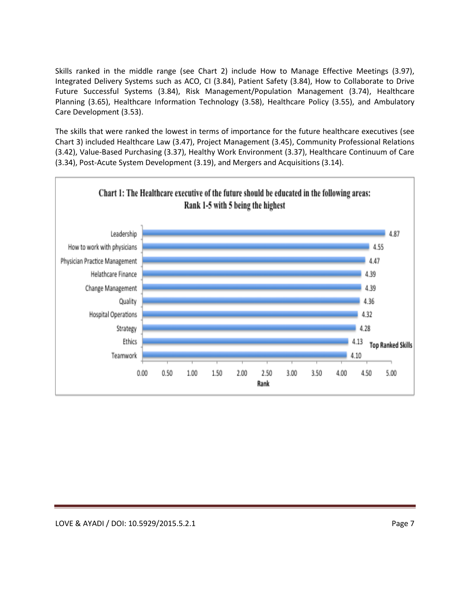Skills ranked in the middle range (see Chart 2) include How to Manage Effective Meetings (3.97), Integrated Delivery Systems such as ACO, CI (3.84), Patient Safety (3.84), How to Collaborate to Drive Future Successful Systems (3.84), Risk Management/Population Management (3.74), Healthcare Planning (3.65), Healthcare Information Technology (3.58), Healthcare Policy (3.55), and Ambulatory Care Development (3.53).

The skills that were ranked the lowest in terms of importance for the future healthcare executives (see Chart 3) included Healthcare Law (3.47), Project Management (3.45), Community Professional Relations (3.42), Value-Based Purchasing (3.37), Healthy Work Environment (3.37), Healthcare Continuum of Care (3.34), Post-Acute System Development (3.19), and Mergers and Acquisitions (3.14).

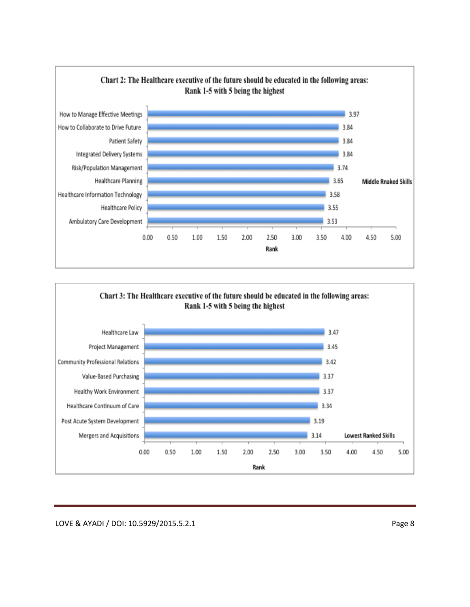

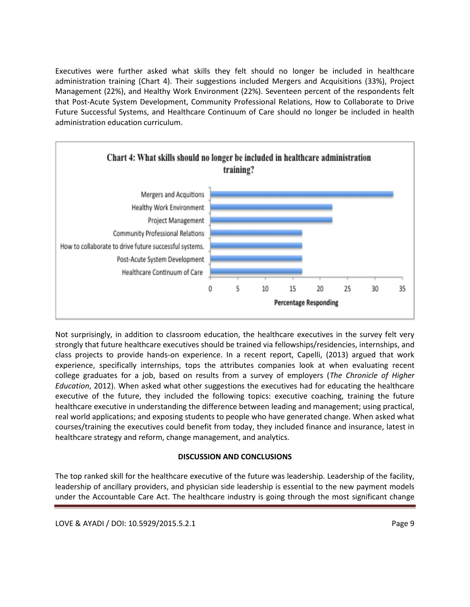Executives were further asked what skills they felt should no longer be included in healthcare administration training (Chart 4). Their suggestions included Mergers and Acquisitions (33%), Project Management (22%), and Healthy Work Environment (22%). Seventeen percent of the respondents felt that Post-Acute System Development, Community Professional Relations, How to Collaborate to Drive Future Successful Systems, and Healthcare Continuum of Care should no longer be included in health administration education curriculum.



Not surprisingly, in addition to classroom education, the healthcare executives in the survey felt very strongly that future healthcare executives should be trained via fellowships/residencies, internships, and class projects to provide hands-on experience. In a recent report, Capelli, (2013) argued that work experience, specifically internships, tops the attributes companies look at when evaluating recent college graduates for a job, based on results from a survey of employers (*The Chronicle of Higher Education*, 2012). When asked what other suggestions the executives had for educating the healthcare executive of the future, they included the following topics: executive coaching, training the future healthcare executive in understanding the difference between leading and management; using practical, real world applications; and exposing students to people who have generated change. When asked what courses/training the executives could benefit from today, they included finance and insurance, latest in healthcare strategy and reform, change management, and analytics.

# **DISCUSSION AND CONCLUSIONS**

The top ranked skill for the healthcare executive of the future was leadership. Leadership of the facility, leadership of ancillary providers, and physician side leadership is essential to the new payment models under the Accountable Care Act. The healthcare industry is going through the most significant change

LOVE & AYADI / DOI: 10.5929/2015.5.2.1 Page 9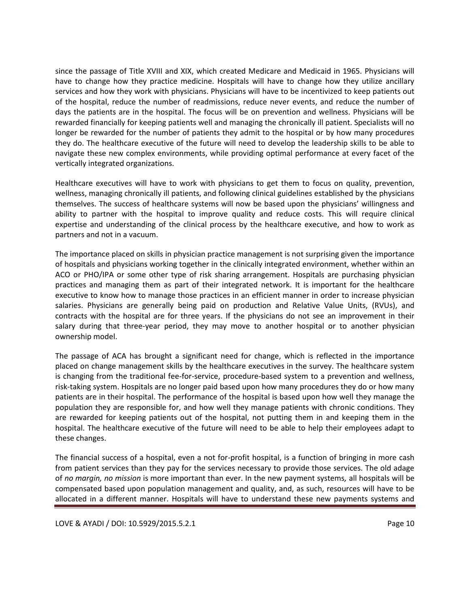since the passage of Title XVIII and XIX, which created Medicare and Medicaid in 1965. Physicians will have to change how they practice medicine. Hospitals will have to change how they utilize ancillary services and how they work with physicians. Physicians will have to be incentivized to keep patients out of the hospital, reduce the number of readmissions, reduce never events, and reduce the number of days the patients are in the hospital. The focus will be on prevention and wellness. Physicians will be rewarded financially for keeping patients well and managing the chronically ill patient. Specialists will no longer be rewarded for the number of patients they admit to the hospital or by how many procedures they do. The healthcare executive of the future will need to develop the leadership skills to be able to navigate these new complex environments, while providing optimal performance at every facet of the vertically integrated organizations.

Healthcare executives will have to work with physicians to get them to focus on quality, prevention, wellness, managing chronically ill patients, and following clinical guidelines established by the physicians themselves. The success of healthcare systems will now be based upon the physicians' willingness and ability to partner with the hospital to improve quality and reduce costs. This will require clinical expertise and understanding of the clinical process by the healthcare executive, and how to work as partners and not in a vacuum.

The importance placed on skills in physician practice management is not surprising given the importance of hospitals and physicians working together in the clinically integrated environment, whether within an ACO or PHO/IPA or some other type of risk sharing arrangement. Hospitals are purchasing physician practices and managing them as part of their integrated network. It is important for the healthcare executive to know how to manage those practices in an efficient manner in order to increase physician salaries. Physicians are generally being paid on production and Relative Value Units, (RVUs), and contracts with the hospital are for three years. If the physicians do not see an improvement in their salary during that three-year period, they may move to another hospital or to another physician ownership model.

The passage of ACA has brought a significant need for change, which is reflected in the importance placed on change management skills by the healthcare executives in the survey. The healthcare system is changing from the traditional fee-for-service, procedure-based system to a prevention and wellness, risk-taking system. Hospitals are no longer paid based upon how many procedures they do or how many patients are in their hospital. The performance of the hospital is based upon how well they manage the population they are responsible for, and how well they manage patients with chronic conditions. They are rewarded for keeping patients out of the hospital, not putting them in and keeping them in the hospital. The healthcare executive of the future will need to be able to help their employees adapt to these changes.

The financial success of a hospital, even a not for-profit hospital, is a function of bringing in more cash from patient services than they pay for the services necessary to provide those services. The old adage of *no margin, no mission* is more important than ever. In the new payment systems*,* all hospitals will be compensated based upon population management and quality, and, as such, resources will have to be allocated in a different manner. Hospitals will have to understand these new payments systems and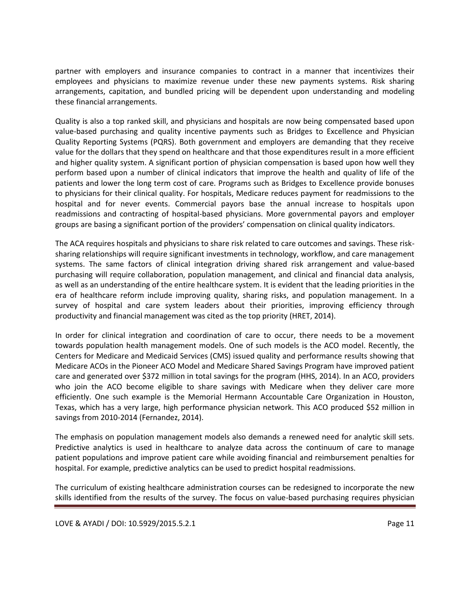partner with employers and insurance companies to contract in a manner that incentivizes their employees and physicians to maximize revenue under these new payments systems. Risk sharing arrangements, capitation, and bundled pricing will be dependent upon understanding and modeling these financial arrangements.

Quality is also a top ranked skill, and physicians and hospitals are now being compensated based upon value-based purchasing and quality incentive payments such as Bridges to Excellence and Physician Quality Reporting Systems (PQRS). Both government and employers are demanding that they receive value for the dollars that they spend on healthcare and that those expenditures result in a more efficient and higher quality system. A significant portion of physician compensation is based upon how well they perform based upon a number of clinical indicators that improve the health and quality of life of the patients and lower the long term cost of care. Programs such as Bridges to Excellence provide bonuses to physicians for their clinical quality. For hospitals, Medicare reduces payment for readmissions to the hospital and for never events. Commercial payors base the annual increase to hospitals upon readmissions and contracting of hospital-based physicians. More governmental payors and employer groups are basing a significant portion of the providers' compensation on clinical quality indicators.

The ACA requires hospitals and physicians to share risk related to care outcomes and savings. These risksharing relationships will require significant investments in technology, workflow, and care management systems. The same factors of clinical integration driving shared risk arrangement and value-based purchasing will require collaboration, population management, and clinical and financial data analysis, as well as an understanding of the entire healthcare system. It is evident that the leading priorities in the era of healthcare reform include improving quality, sharing risks, and population management. In a survey of hospital and care system leaders about their priorities, improving efficiency through productivity and financial management was cited as the top priority (HRET, 2014).

In order for clinical integration and coordination of care to occur, there needs to be a movement towards population health management models. One of such models is the ACO model. Recently, the Centers for Medicare and Medicaid Services (CMS) issued quality and performance results showing that Medicare ACOs in the Pioneer ACO Model and Medicare Shared Savings Program have improved patient care and generated over \$372 million in total savings for the program (HHS, 2014). In an ACO, providers who join the ACO become eligible to share savings with Medicare when they deliver care more efficiently. One such example is the Memorial Hermann Accountable Care Organization in Houston, Texas, which has a very large, high performance physician network. This ACO produced \$52 million in savings from 2010-2014 (Fernandez, 2014).

The emphasis on population management models also demands a renewed need for analytic skill sets. Predictive analytics is used in healthcare to analyze data across the continuum of care to manage patient populations and improve patient care while avoiding financial and reimbursement penalties for hospital. For example, predictive analytics can be used to predict hospital readmissions.

The curriculum of existing healthcare administration courses can be redesigned to incorporate the new skills identified from the results of the survey. The focus on value-based purchasing requires physician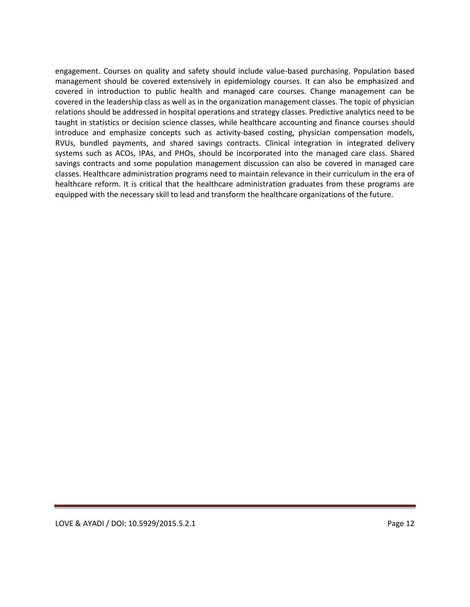engagement. Courses on quality and safety should include value-based purchasing. Population based management should be covered extensively in epidemiology courses. It can also be emphasized and covered in introduction to public health and managed care courses. Change management can be covered in the leadership class as well as in the organization management classes. The topic of physician relations should be addressed in hospital operations and strategy classes. Predictive analytics need to be taught in statistics or decision science classes, while healthcare accounting and finance courses should introduce and emphasize concepts such as activity-based costing, physician compensation models, RVUs, bundled payments, and shared savings contracts. Clinical integration in integrated delivery systems such as ACOs, IPAs, and PHOs, should be incorporated into the managed care class. Shared savings contracts and some population management discussion can also be covered in managed care classes. Healthcare administration programs need to maintain relevance in their curriculum in the era of healthcare reform. It is critical that the healthcare administration graduates from these programs are equipped with the necessary skill to lead and transform the healthcare organizations of the future.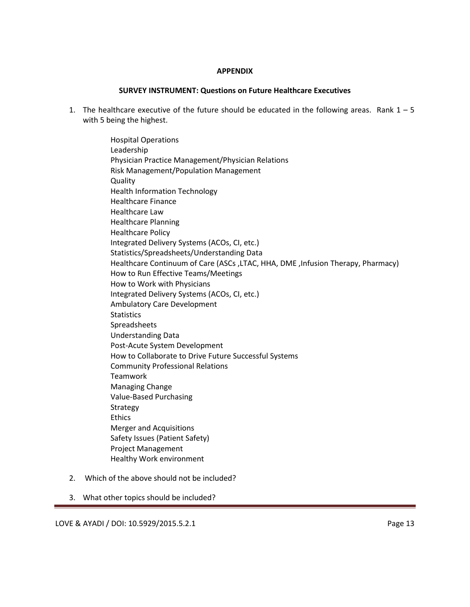### **APPENDIX**

### **SURVEY INSTRUMENT: Questions on Future Healthcare Executives**

1. The healthcare executive of the future should be educated in the following areas. Rank  $1 - 5$ with 5 being the highest.

> Hospital Operations Leadership Physician Practice Management/Physician Relations Risk Management/Population Management **Quality** Health Information Technology Healthcare Finance Healthcare Law Healthcare Planning Healthcare Policy Integrated Delivery Systems (ACOs, CI, etc.) Statistics/Spreadsheets/Understanding Data Healthcare Continuum of Care (ASCs ,LTAC, HHA, DME ,Infusion Therapy, Pharmacy) How to Run Effective Teams/Meetings How to Work with Physicians Integrated Delivery Systems (ACOs, CI, etc.) Ambulatory Care Development **Statistics** Spreadsheets Understanding Data Post-Acute System Development How to Collaborate to Drive Future Successful Systems Community Professional Relations Teamwork Managing Change Value-Based Purchasing Strategy Ethics Merger and Acquisitions Safety Issues (Patient Safety) Project Management Healthy Work environment

- 2. Which of the above should not be included?
- 3. What other topics should be included?

LOVE & AYADI / DOI: 10.5929/2015.5.2.1 Page 13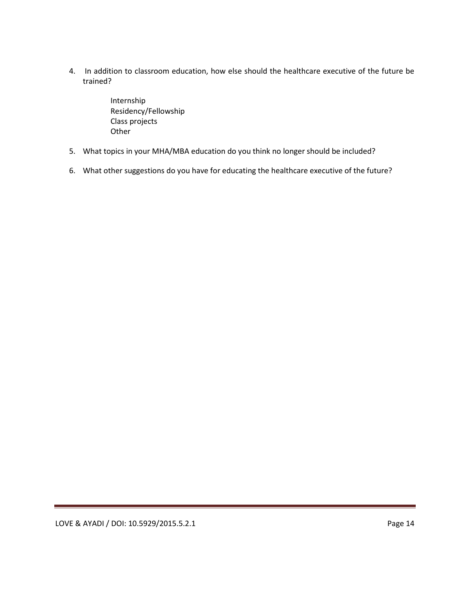4. In addition to classroom education, how else should the healthcare executive of the future be trained?

> Internship Residency/Fellowship Class projects **Other**

- 5. What topics in your MHA/MBA education do you think no longer should be included?
- 6. What other suggestions do you have for educating the healthcare executive of the future?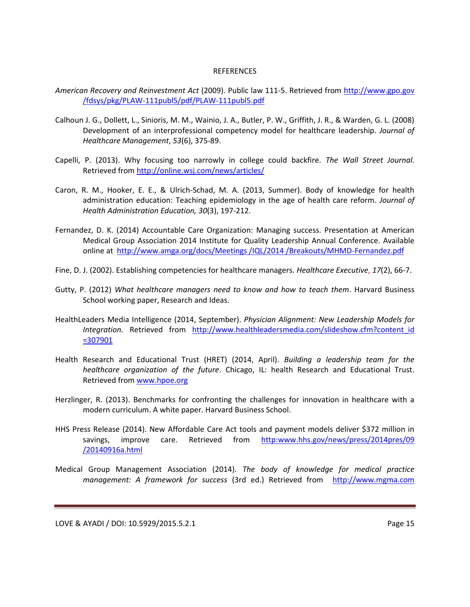#### **REFERENCES**

- *American Recovery and Reinvestment Act* (2009). Public law 111-5. Retrieved from http://www.gpo.gov /fdsys/pkg/PLAW-111publ5/pdf/PLAW-111publ5.pdf
- Calhoun J. G., Dollett, L., Sinioris, M. M., Wainio, J. A., Butler, P. W., Griffith, J. R., & Warden, G. L. (2008) Development of an interprofessional competency model for healthcare leadership. *Journal of Healthcare Management*, *53*(6), 375-89.
- Capelli, P. (2013). Why focusing too narrowly in college could backfire. *The Wall Street Journal.*  Retrieved from<http://online.wsj.com/news/articles/>
- Caron, R. M., Hooker, E. E., & Ulrich-Schad, M. A. (2013, Summer). Body of knowledge for health administration education: Teaching epidemiology in the age of health care reform. *Journal of Health Administration Education, 30*(3), 197-212.
- Fernandez, D. K. (2014) Accountable Care Organization: Managing success. Presentation at American Medical Group Association 2014 Institute for Quality Leadership Annual Conference. Available online at http://www.amga.org/docs/Meetings/IQL/2014/Breakouts/MHMD-Fernandez.pdf
- Fine, D. J. (2002). Establishing competencies for healthcare managers. *Healthcare Executive, 17*(2), 66-7.
- Gutty, P. (2012) *What healthcare managers need to know and how to teach them*. Harvard Business School working paper, Research and Ideas.
- HealthLeaders Media Intelligence (2014, September). *Physician Alignment: New Leadership Models for Integration.* Retrieved from [http://www.healthleadersmedia.com/slideshow.cfm?content\\_id](http://www.healthleadersmedia.com/slideshow.cfm?content_id%20=307901)  [=307901](http://www.healthleadersmedia.com/slideshow.cfm?content_id%20=307901)
- Health Research and Educational Trust (HRET) (2014, April). *Building a leadership team for the healthcare organization of the future*. Chicago, IL: health Research and Educational Trust. Retrieved from [www.hpoe.org](http://www.hpoe.org/)
- Herzlinger, R. (2013). Benchmarks for confronting the challenges for innovation in healthcare with a modern curriculum. A white paper. Harvard Business School.
- HHS Press Release (2014). New Affordable Care Act tools and payment models deliver \$372 million in savings, improve care. Retrieved from [http:www.hhs.gov/news/press/2014pres/09](http://www.hhs.gov/news/press/2014pres/09/20140916a.html) [/20140916a.html](http://www.hhs.gov/news/press/2014pres/09/20140916a.html)
- Medical Group Management Association (2014). *The body of knowledge for medical practice management: A framework for success* (3rd ed.) Retrieved from http://www.mgma.com

LOVE & AYADI / DOI: 10.5929/2015.5.2.1 Page 15